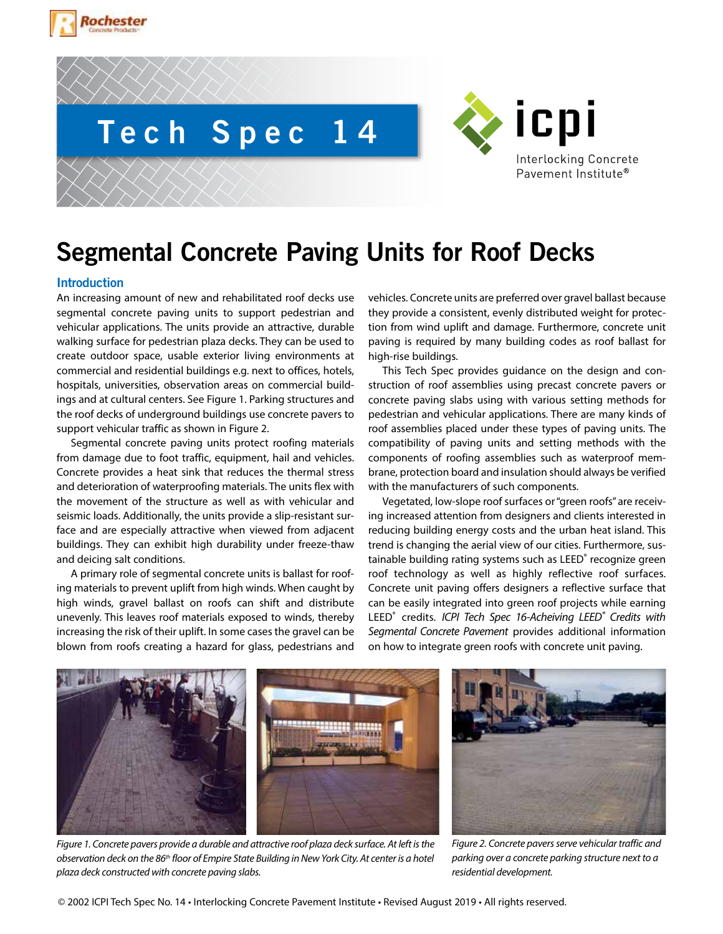



# **Tech Spec 14**



# **Segmental Concrete Paving Units for Roof Decks**

# **Introduction**

An increasing amount of new and rehabilitated roof decks use segmental concrete paving units to support pedestrian and vehicular applications. The units provide an attractive, durable walking surface for pedestrian plaza decks. They can be used to create outdoor space, usable exterior living environments at commercial and residential buildings e.g. next to offices, hotels, hospitals, universities, observation areas on commercial buildings and at cultural centers. See Figure 1. Parking structures and the roof decks of underground buildings use concrete pavers to support vehicular traffic as shown in Figure 2.

Segmental concrete paving units protect roofing materials from damage due to foot traffic, equipment, hail and vehicles. Concrete provides a heat sink that reduces the thermal stress and deterioration of waterproofing materials. The units flex with the movement of the structure as well as with vehicular and seismic loads. Additionally, the units provide a slip-resistant surface and are especially attractive when viewed from adjacent buildings. They can exhibit high durability under freeze-thaw and deicing salt conditions.

A primary role of segmental concrete units is ballast for roofing materials to prevent uplift from high winds. When caught by high winds, gravel ballast on roofs can shift and distribute unevenly. This leaves roof materials exposed to winds, thereby increasing the risk of their uplift. In some cases the gravel can be blown from roofs creating a hazard for glass, pedestrians and

vehicles. Concrete units are preferred over gravel ballast because they provide a consistent, evenly distributed weight for protection from wind uplift and damage. Furthermore, concrete unit paving is required by many building codes as roof ballast for high-rise buildings.

This Tech Spec provides guidance on the design and construction of roof assemblies using precast concrete pavers or concrete paving slabs using with various setting methods for pedestrian and vehicular applications. There are many kinds of roof assemblies placed under these types of paving units. The compatibility of paving units and setting methods with the components of roofing assemblies such as waterproof membrane, protection board and insulation should always be verified with the manufacturers of such components.

Vegetated, low-slope roof surfaces or "green roofs" are receiving increased attention from designers and clients interested in reducing building energy costs and the urban heat island. This trend is changing the aerial view of our cities. Furthermore, sustainable building rating systems such as LEED<sup>®</sup> recognize green roof technology as well as highly reflective roof surfaces. Concrete unit paving offers designers a reflective surface that can be easily integrated into green roof projects while earning LEED® credits. *ICPI Tech Spec 16-Acheiving LEED® Credits with Segmental Concrete Pavement* provides additional information on how to integrate green roofs with concrete unit paving.



*Figure 1. Concrete pavers provide a durable and attractive roof plaza deck surface. At left is the observation deck on the 86th floor of Empire State Building in New York City. At center is a hotel plaza deck constructed with concrete paving slabs.*

*Figure 2. Concrete pavers serve vehicular traffic and parking over a concrete parking structure next to a residential development.* 

© 2002 ICPI Tech Spec No. 14 • Interlocking Concrete Pavement Institute • Revised August 2019 • All rights reserved.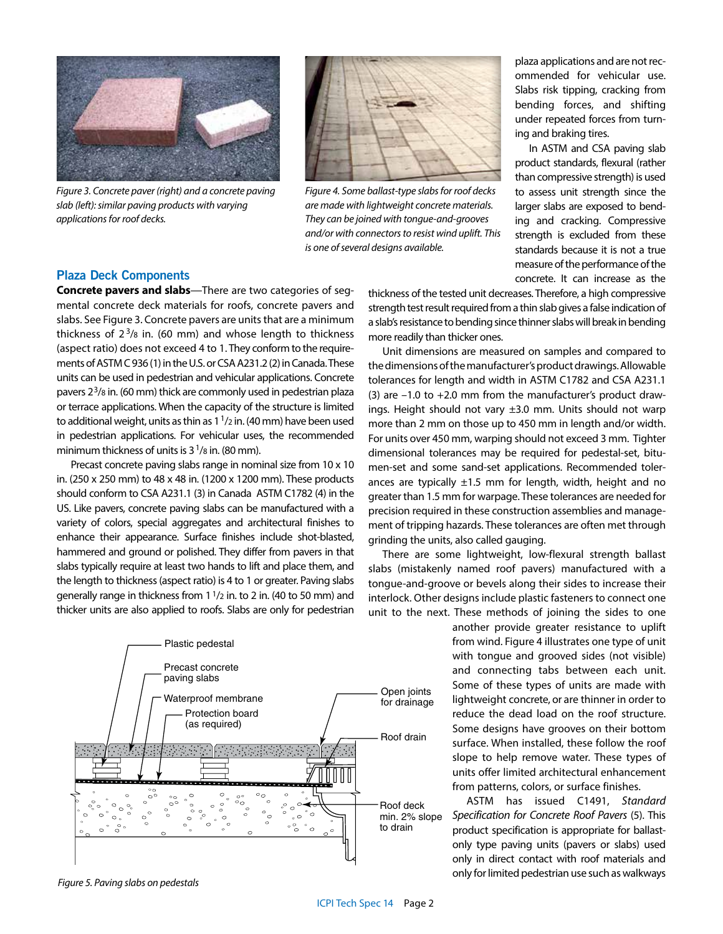

*Figure 3. Concrete paver (right) and a concrete paving slab (left): similar paving products with varying applications for roof decks.*



*Figure 4. Some ballast-type slabs for roof decks are made with lightweight concrete materials. They can be joined with tongue-and-grooves and/or with connectors to resist wind uplift. This is one of several designs available.* 

plaza applications and are not recommended for vehicular use. Slabs risk tipping, cracking from bending forces, and shifting under repeated forces from turning and braking tires.

In ASTM and CSA paving slab product standards, flexural (rather than compressive strength) is used to assess unit strength since the larger slabs are exposed to bending and cracking. Compressive strength is excluded from these standards because it is not a true measure of the performance of the concrete. It can increase as the

# **Plaza Deck Components**

**Concrete pavers and slabs**—There are two categories of segmental concrete deck materials for roofs, concrete pavers and slabs. See Figure 3. Concrete pavers are units that are a minimum thickness of  $2^{\frac{3}{8}}$  in. (60 mm) and whose length to thickness (aspect ratio) does not exceed 4 to 1. They conform to the requirements of ASTM C 936 (1) in the U.S. or CSA A231.2 (2) in Canada. These units can be used in pedestrian and vehicular applications. Concrete pavers  $2^3$ /8 in. (60 mm) thick are commonly used in pedestrian plaza or terrace applications. When the capacity of the structure is limited to additional weight, units as thin as  $1<sup>1</sup>/2$  in. (40 mm) have been used in pedestrian applications. For vehicular uses, the recommended minimum thickness of units is  $3<sup>1</sup>/8$  in. (80 mm).

Precast concrete paving slabs range in nominal size from 10 x 10 in. (250 x 250 mm) to 48 x 48 in. (1200 x 1200 mm). These products should conform to CSA A231.1 (3) in Canada ASTM C1782 (4) in the US. Like pavers, concrete paving slabs can be manufactured with a variety of colors, special aggregates and architectural finishes to enhance their appearance. Surface finishes include shot-blasted, hammered and ground or polished. They differ from pavers in that slabs typically require at least two hands to lift and place them, and the length to thickness (aspect ratio) is 4 to 1 or greater. Paving slabs generally range in thickness from 11/2 in. to 2 in. (40 to 50 mm) and thicker units are also applied to roofs. Slabs are only for pedestrian



*Figure 5. Paving slabs on pedestals*

thickness of the tested unit decreases. Therefore, a high compressive strength test result required from a thin slab gives a false indication of a slab's resistance to bending since thinner slabs will break in bending more readily than thicker ones.

Unit dimensions are measured on samples and compared to the dimensions of the manufacturer's product drawings. Allowable tolerances for length and width in ASTM C1782 and CSA A231.1 (3) are  $-1.0$  to  $+2.0$  mm from the manufacturer's product drawings. Height should not vary ±3.0 mm. Units should not warp more than 2 mm on those up to 450 mm in length and/or width. For units over 450 mm, warping should not exceed 3 mm. Tighter dimensional tolerances may be required for pedestal-set, bitumen-set and some sand-set applications. Recommended tolerances are typically  $\pm 1.5$  mm for length, width, height and no greater than 1.5 mm for warpage. These tolerances are needed for precision required in these construction assemblies and management of tripping hazards. These tolerances are often met through grinding the units, also called gauging.

There are some lightweight, low-flexural strength ballast slabs (mistakenly named roof pavers) manufactured with a tongue-and-groove or bevels along their sides to increase their interlock. Other designs include plastic fasteners to connect one unit to the next. These methods of joining the sides to one

> another provide greater resistance to uplift from wind. Figure 4 illustrates one type of unit with tongue and grooved sides (not visible) and connecting tabs between each unit. Some of these types of units are made with lightweight concrete, or are thinner in order to reduce the dead load on the roof structure. Some designs have grooves on their bottom surface. When installed, these follow the roof slope to help remove water. These types of units offer limited architectural enhancement from patterns, colors, or surface finishes.

> ASTM has issued C1491, *Standard Specification for Concrete Roof Pavers* (5). This product specification is appropriate for ballastonly type paving units (pavers or slabs) used only in direct contact with roof materials and only for limited pedestrian use such as walkways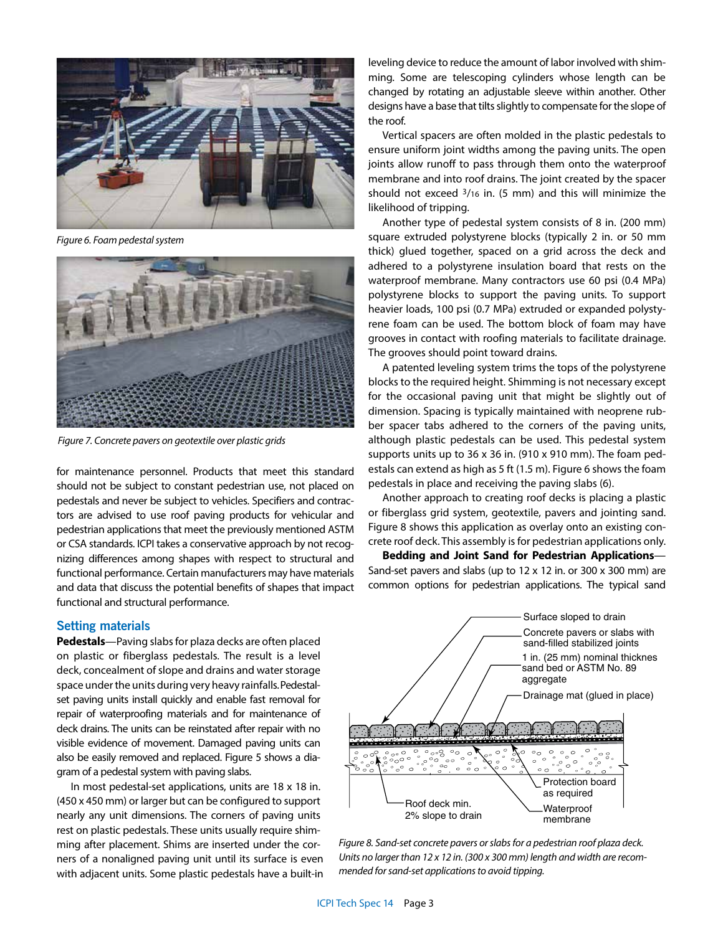

*Figure 6. Foam pedestal system* 



*Figure 7. Concrete pavers on geotextile over plastic grids*

for maintenance personnel. Products that meet this standard should not be subject to constant pedestrian use, not placed on pedestals and never be subject to vehicles. Specifiers and contractors are advised to use roof paving products for vehicular and pedestrian applications that meet the previously mentioned ASTM or CSA standards. ICPI takes a conservative approach by not recognizing differences among shapes with respect to structural and functional performance. Certain manufacturers may have materials and data that discuss the potential benefits of shapes that impact functional and structural performance.

# **Setting materials**

**Pedestals**—Paving slabs for plaza decks are often placed on plastic or fiberglass pedestals. The result is a level deck, concealment of slope and drains and water storage space under the units during very heavy rainfalls. Pedestalset paving units install quickly and enable fast removal for repair of waterproofing materials and for maintenance of deck drains. The units can be reinstated after repair with no visible evidence of movement. Damaged paving units can also be easily removed and replaced. Figure 5 shows a diagram of a pedestal system with paving slabs.

In most pedestal-set applications, units are 18 x 18 in. (450 x 450 mm) or larger but can be configured to support nearly any unit dimensions. The corners of paving units rest on plastic pedestals. These units usually require shimming after placement. Shims are inserted under the corners of a nonaligned paving unit until its surface is even with adjacent units. Some plastic pedestals have a built-in

leveling device to reduce the amount of labor involved with shimming. Some are telescoping cylinders whose length can be changed by rotating an adjustable sleeve within another. Other designs have a base that tilts slightly to compensate for the slope of the roof.

Vertical spacers are often molded in the plastic pedestals to ensure uniform joint widths among the paving units. The open joints allow runoff to pass through them onto the waterproof membrane and into roof drains. The joint created by the spacer should not exceed 3/16 in. (5 mm) and this will minimize the likelihood of tripping.

Another type of pedestal system consists of 8 in. (200 mm) square extruded polystyrene blocks (typically 2 in. or 50 mm thick) glued together, spaced on a grid across the deck and adhered to a polystyrene insulation board that rests on the waterproof membrane. Many contractors use 60 psi (0.4 MPa) polystyrene blocks to support the paving units. To support heavier loads, 100 psi (0.7 MPa) extruded or expanded polystyrene foam can be used. The bottom block of foam may have grooves in contact with roofing materials to facilitate drainage. The grooves should point toward drains.

A patented leveling system trims the tops of the polystyrene blocks to the required height. Shimming is not necessary except for the occasional paving unit that might be slightly out of dimension. Spacing is typically maintained with neoprene rubber spacer tabs adhered to the corners of the paving units, although plastic pedestals can be used. This pedestal system supports units up to 36 x 36 in. (910 x 910 mm). The foam pedestals can extend as high as 5 ft (1.5 m). Figure 6 shows the foam pedestals in place and receiving the paving slabs (6).

Another approach to creating roof decks is placing a plastic or fiberglass grid system, geotextile, pavers and jointing sand. Figure 8 shows this application as overlay onto an existing concrete roof deck. This assembly is for pedestrian applications only.

**Bedding and Joint Sand for Pedestrian Applications**— Sand-set pavers and slabs (up to 12 x 12 in. or 300 x 300 mm) are common options for pedestrian applications. The typical sand



*Figure 8. Sand-set concrete pavers or slabs for a pedestrian roof plaza deck. Units no larger than 12 x 12 in. (300 x 300 mm) length and width are recommended for sand-set applications to avoid tipping.*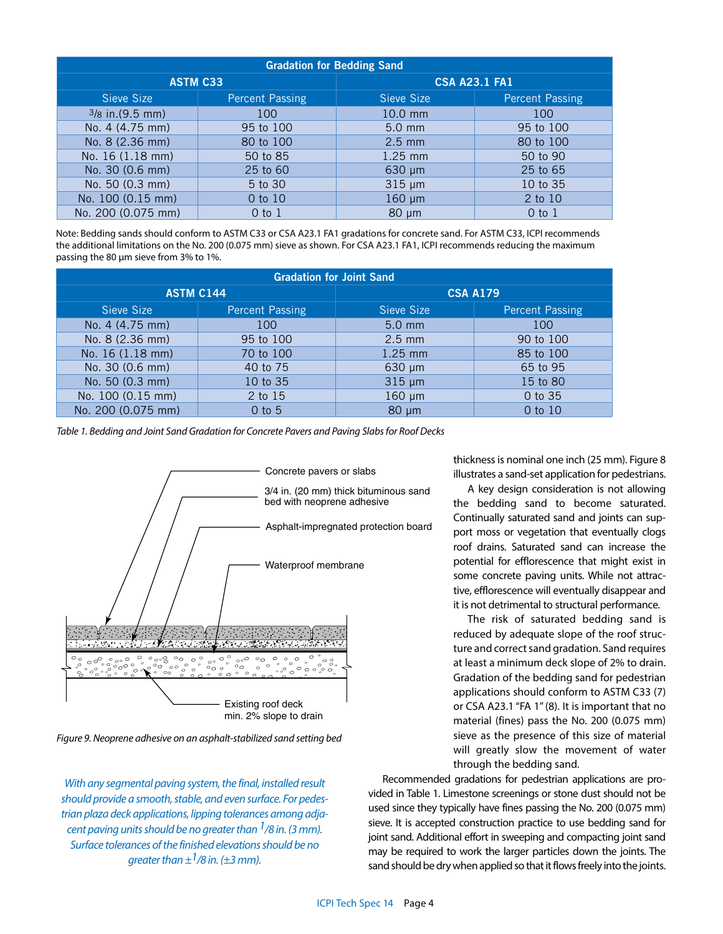| <b>Gradation for Bedding Sand</b> |                        |                      |                        |  |  |
|-----------------------------------|------------------------|----------------------|------------------------|--|--|
| <b>ASTM C33</b>                   |                        | <b>CSA A23.1 FA1</b> |                        |  |  |
| Sieve Size                        | <b>Percent Passing</b> | Sieve Size           | <b>Percent Passing</b> |  |  |
| $3/8$ in. $(9.5$ mm)              | 100                    | 10.0 mm              | 100                    |  |  |
| No. 4 (4.75 mm)                   | 95 to 100              | $5.0$ mm             | 95 to 100              |  |  |
| No. 8 (2.36 mm)                   | 80 to 100              | $2.5$ mm             | 80 to 100              |  |  |
| No. 16 (1.18 mm)                  | 50 to 85               | 1.25 mm              | 50 to 90               |  |  |
| No. 30 (0.6 mm)                   | 25 to 60               | $630 \mu m$          | 25 to 65               |  |  |
| No. 50 (0.3 mm)                   | 5 to 30                | $315 \mu m$          | 10 to 35               |  |  |
| No. 100 (0.15 mm)                 | 0 to 10                | $160 \mu m$          | 2 to 10                |  |  |
| No. 200 (0.075 mm)                | $0$ to $1$             | $80 \mu m$           | $0$ to $1$             |  |  |

Note: Bedding sands should conform to ASTM C33 or CSA A23.1 FA1 gradations for concrete sand. For ASTM C33, ICPI recommends the additional limitations on the No. 200 (0.075 mm) sieve as shown. For CSA A23.1 FA1, ICPI recommends reducing the maximum passing the 80 μm sieve from 3% to 1%.

| <b>Gradation for Joint Sand</b> |                        |                 |                        |  |  |
|---------------------------------|------------------------|-----------------|------------------------|--|--|
| <b>ASTM C144</b>                |                        | <b>CSA A179</b> |                        |  |  |
| Sieve Size                      | <b>Percent Passing</b> | Sieve Size      | <b>Percent Passing</b> |  |  |
| No. 4 (4.75 mm)                 | 100                    | $5.0$ mm        | 100                    |  |  |
| No. 8 (2.36 mm)                 | 95 to 100              | $2.5$ mm        | 90 to 100              |  |  |
| No. 16 (1.18 mm)                | 70 to 100              | $1.25$ mm       | 85 to 100              |  |  |
| No. 30 (0.6 mm)                 | 40 to 75               | $630 \mu m$     | 65 to 95               |  |  |
| No. 50 (0.3 mm)                 | 10 to 35               | $315 \mu m$     | 15 to 80               |  |  |
| No. 100 (0.15 mm)               | 2 to 15                | $160 \mu m$     | 0 to 35                |  |  |
| No. 200 (0.075 mm)              | $0$ to 5               | $80 \mu m$      | 0 to 10                |  |  |

*Table 1. Bedding and Joint Sand Gradation for Concrete Pavers and Paving Slabs for Roof Decks*



*Figure 9. Neoprene adhesive on an asphalt-stabilized sand setting bed* 

*With any segmental paving system, the final, installed result should provide a smooth, stable, and even surface. For pedestrian plaza deck applications, lipping tolerances among adjacent paving units should be no greater than 1/8 in. (3 mm). Surface tolerances of the finished elevations should be no greater than*  $\pm$ <sup>1</sup>/8 in. ( $\pm$ 3 mm).

thickness is nominal one inch (25 mm). Figure 8 illustrates a sand-set application for pedestrians.

A key design consideration is not allowing the bedding sand to become saturated. Continually saturated sand and joints can support moss or vegetation that eventually clogs roof drains. Saturated sand can increase the potential for efflorescence that might exist in some concrete paving units. While not attractive, efflorescence will eventually disappear and it is not detrimental to structural performance.

The risk of saturated bedding sand is reduced by adequate slope of the roof structure and correct sand gradation. Sand requires at least a minimum deck slope of 2% to drain. Gradation of the bedding sand for pedestrian applications should conform to ASTM C33 (7) or CSA A23.1 "FA 1" (8). It is important that no material (fines) pass the No. 200 (0.075 mm) sieve as the presence of this size of material will greatly slow the movement of water through the bedding sand.

Recommended gradations for pedestrian applications are provided in Table 1. Limestone screenings or stone dust should not be used since they typically have fines passing the No. 200 (0.075 mm) sieve. It is accepted construction practice to use bedding sand for joint sand. Additional effort in sweeping and compacting joint sand may be required to work the larger particles down the joints. The sand should be dry when applied so that it flows freely into the joints.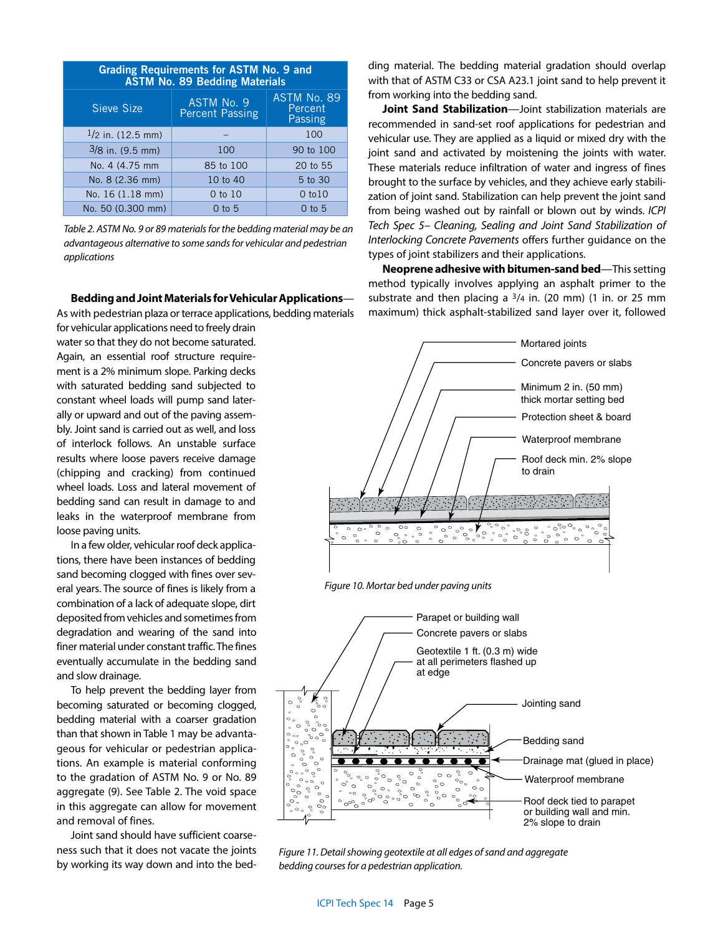| <b>Grading Requirements for ASTM No. 9 and</b><br><b>ASTM No. 89 Bedding Materials</b> |                                      |                                   |  |  |  |
|----------------------------------------------------------------------------------------|--------------------------------------|-----------------------------------|--|--|--|
| Sieve Size                                                                             | ASTM No. 9<br><b>Percent Passing</b> | ASTM No. 89<br>Percent<br>Passing |  |  |  |
| $1/2$ in. (12.5 mm)                                                                    |                                      | 100                               |  |  |  |
| $3/8$ in. (9.5 mm)                                                                     | 100                                  | 90 to 100                         |  |  |  |
| No. 4 (4.75 mm                                                                         | 85 to 100                            | 20 to 55                          |  |  |  |
| No. 8 (2.36 mm)                                                                        | 10 to 40                             | 5 to 30                           |  |  |  |
| No. 16 (1.18 mm)                                                                       | 0 to 10                              | $0$ to $10$                       |  |  |  |
| No. 50 (0.300 mm)                                                                      | $0$ to 5                             | $0$ to 5                          |  |  |  |

*Table 2. ASTM No. 9 or 89 materials for the bedding material may be an advantageous alternative to some sands for vehicular and pedestrian applications*

**Bedding and Joint Materials for Vehicular Applications**—

As with pedestrian plaza or terrace applications, bedding materials

for vehicular applications need to freely drain water so that they do not become saturated. Again, an essential roof structure requirement is a 2% minimum slope. Parking decks with saturated bedding sand subjected to constant wheel loads will pump sand laterally or upward and out of the paving assembly. Joint sand is carried out as well, and loss of interlock follows. An unstable surface results where loose pavers receive damage (chipping and cracking) from continued wheel loads. Loss and lateral movement of bedding sand can result in damage to and leaks in the waterproof membrane from loose paving units.

In a few older, vehicular roof deck applications, there have been instances of bedding sand becoming clogged with fines over several years. The source of fines is likely from a combination of a lack of adequate slope, dirt deposited from vehicles and sometimes from degradation and wearing of the sand into finer material under constant traffic. The fines eventually accumulate in the bedding sand and slow drainage.

To help prevent the bedding layer from becoming saturated or becoming clogged, bedding material with a coarser gradation than that shown in Table 1 may be advantageous for vehicular or pedestrian applications. An example is material conforming to the gradation of ASTM No. 9 or No. 89 aggregate (9). See Table 2. The void space in this aggregate can allow for movement and removal of fines.

Joint sand should have sufficient coarseness such that it does not vacate the joints by working its way down and into the bedding material. The bedding material gradation should overlap with that of ASTM C33 or CSA A23.1 joint sand to help prevent it from working into the bedding sand.

**Joint Sand Stabilization**—Joint stabilization materials are recommended in sand-set roof applications for pedestrian and vehicular use. They are applied as a liquid or mixed dry with the joint sand and activated by moistening the joints with water. These materials reduce infiltration of water and ingress of fines brought to the surface by vehicles, and they achieve early stabilization of joint sand. Stabilization can help prevent the joint sand from being washed out by rainfall or blown out by winds. *ICPI Tech Spec 5– Cleaning, Sealing and Joint Sand Stabilization of Interlocking Concrete Pavements* offers further guidance on the types of joint stabilizers and their applications.

**Neoprene adhesive with bitumen-sand bed**—This setting method typically involves applying an asphalt primer to the substrate and then placing a  $3/4$  in. (20 mm) (1 in. or 25 mm maximum) thick asphalt-stabilized sand layer over it, followed



*Figure 11. Detail showing geotextile at all edges of sand and aggregate* Figure 10. *bedding courses for a pedestrian application.*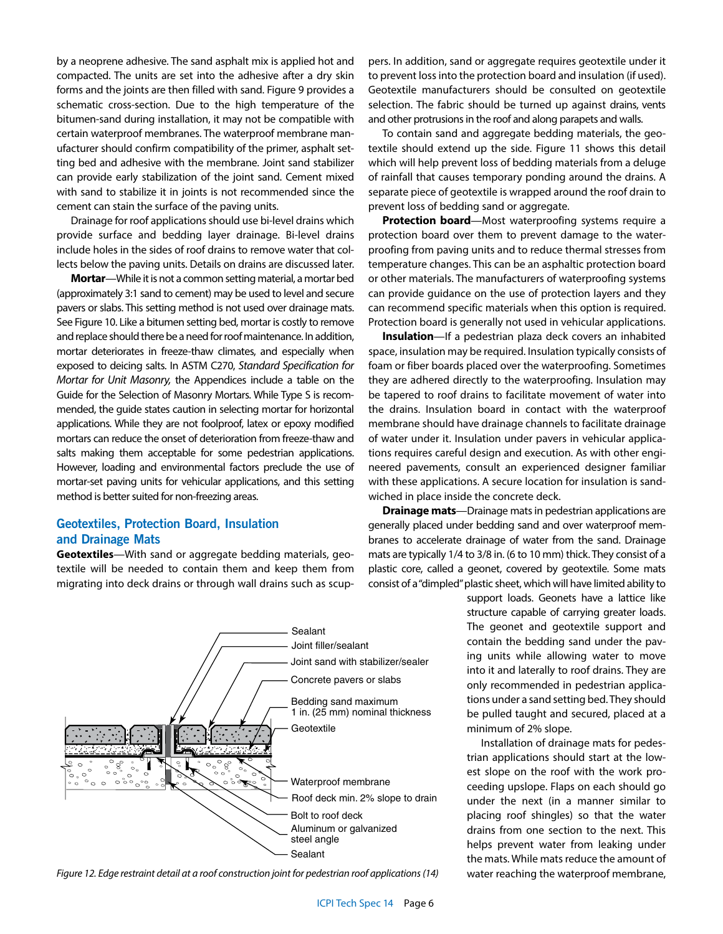by a neoprene adhesive. The sand asphalt mix is applied hot and compacted. The units are set into the adhesive after a dry skin forms and the joints are then filled with sand. Figure 9 provides a schematic cross-section. Due to the high temperature of the bitumen-sand during installation, it may not be compatible with certain waterproof membranes. The waterproof membrane manufacturer should confirm compatibility of the primer, asphalt setting bed and adhesive with the membrane. Joint sand stabilizer can provide early stabilization of the joint sand. Cement mixed with sand to stabilize it in joints is not recommended since the cement can stain the surface of the paving units.

Drainage for roof applications should use bi-level drains which provide surface and bedding layer drainage. Bi-level drains include holes in the sides of roof drains to remove water that collects below the paving units. Details on drains are discussed later.

**Mortar**—While it is not a common setting material, a mortar bed (approximately 3:1 sand to cement) may be used to level and secure pavers or slabs. This setting method is not used over drainage mats. See Figure 10. Like a bitumen setting bed, mortar is costly to remove and replace should there be a need for roof maintenance. In addition, mortar deteriorates in freeze-thaw climates, and especially when exposed to deicing salts. In ASTM C270, *Standard Specification for Mortar for Unit Masonry,* the Appendices include a table on the Guide for the Selection of Masonry Mortars. While Type S is recommended, the guide states caution in selecting mortar for horizontal applications. While they are not foolproof, latex or epoxy modified mortars can reduce the onset of deterioration from freeze-thaw and salts making them acceptable for some pedestrian applications. However, loading and environmental factors preclude the use of mortar-set paving units for vehicular applications, and this setting method is better suited for non-freezing areas.

# **Geotextiles, Protection Board, Insulation and Drainage Mats**

**Geotextiles**—With sand or aggregate bedding materials, geotextile will be needed to contain them and keep them from migrating into deck drains or through wall drains such as scup-



Figure 11 *Figure 12. Edge restraint detail at a roof construction joint for pedestrian roof applications (14)*

pers. In addition, sand or aggregate requires geotextile under it to prevent loss into the protection board and insulation (if used). Geotextile manufacturers should be consulted on geotextile selection. The fabric should be turned up against drains, vents and other protrusions in the roof and along parapets and walls.

To contain sand and aggregate bedding materials, the geotextile should extend up the side. Figure 11 shows this detail which will help prevent loss of bedding materials from a deluge of rainfall that causes temporary ponding around the drains. A separate piece of geotextile is wrapped around the roof drain to prevent loss of bedding sand or aggregate.

**Protection board**—Most waterproofing systems require a protection board over them to prevent damage to the waterproofing from paving units and to reduce thermal stresses from temperature changes. This can be an asphaltic protection board or other materials. The manufacturers of waterproofing systems can provide guidance on the use of protection layers and they can recommend specific materials when this option is required. Protection board is generally not used in vehicular applications.

**Insulation**—If a pedestrian plaza deck covers an inhabited space, insulation may be required. Insulation typically consists of foam or fiber boards placed over the waterproofing. Sometimes they are adhered directly to the waterproofing. Insulation may be tapered to roof drains to facilitate movement of water into the drains. Insulation board in contact with the waterproof membrane should have drainage channels to facilitate drainage of water under it. Insulation under pavers in vehicular applications requires careful design and execution. As with other engineered pavements, consult an experienced designer familiar with these applications. A secure location for insulation is sandwiched in place inside the concrete deck.

**Drainage mats**—Drainage mats in pedestrian applications are generally placed under bedding sand and over waterproof membranes to accelerate drainage of water from the sand. Drainage mats are typically 1/4 to 3/8 in. (6 to 10 mm) thick. They consist of a plastic core, called a geonet, covered by geotextile. Some mats consist of a "dimpled" plastic sheet, which will have limited ability to

> support loads. Geonets have a lattice like structure capable of carrying greater loads. The geonet and geotextile support and contain the bedding sand under the paving units while allowing water to move into it and laterally to roof drains. They are only recommended in pedestrian applications under a sand setting bed. They should be pulled taught and secured, placed at a minimum of 2% slope.

> Installation of drainage mats for pedestrian applications should start at the lowest slope on the roof with the work proceeding upslope. Flaps on each should go under the next (in a manner similar to placing roof shingles) so that the water drains from one section to the next. This helps prevent water from leaking under the mats. While mats reduce the amount of water reaching the waterproof membrane,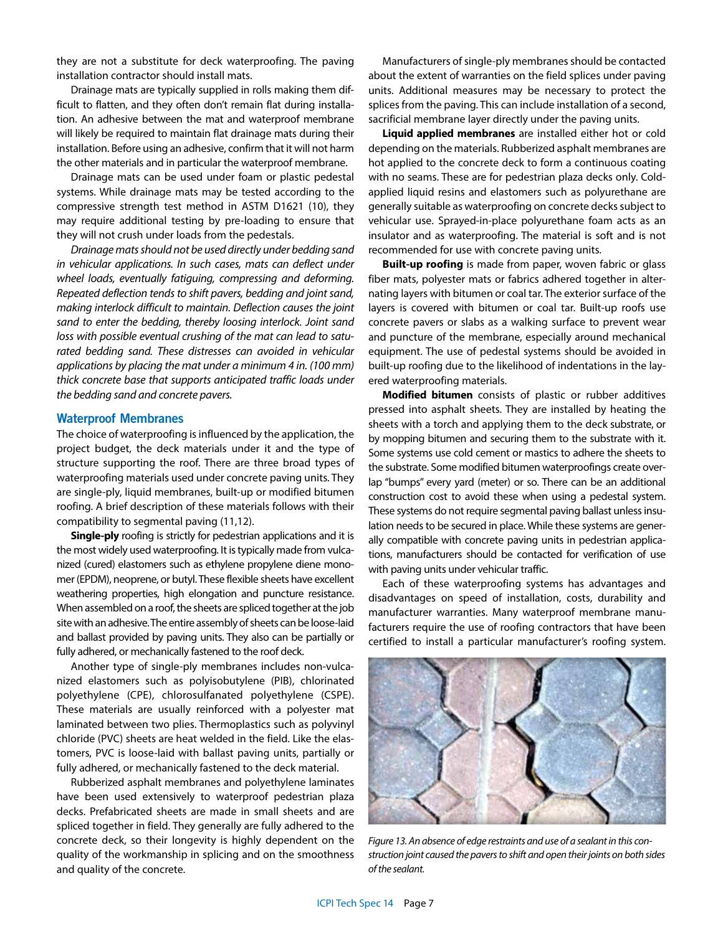they are not a substitute for deck waterproofing. The paving installation contractor should install mats.

Drainage mats are typically supplied in rolls making them difficult to flatten, and they often don't remain flat during installation. An adhesive between the mat and waterproof membrane will likely be required to maintain flat drainage mats during their installation. Before using an adhesive, confirm that it will not harm the other materials and in particular the waterproof membrane.

Drainage mats can be used under foam or plastic pedestal systems. While drainage mats may be tested according to the compressive strength test method in ASTM D1621 (10), they may require additional testing by pre-loading to ensure that they will not crush under loads from the pedestals.

*Drainage mats should not be used directly under bedding sand in vehicular applications. In such cases, mats can deflect under wheel loads, eventually fatiguing, compressing and deforming. Repeated deflection tends to shift pavers, bedding and joint sand, making interlock difficult to maintain. Deflection causes the joint sand to enter the bedding, thereby loosing interlock. Joint sand loss with possible eventual crushing of the mat can lead to saturated bedding sand. These distresses can avoided in vehicular applications by placing the mat under a minimum 4 in. (100 mm) thick concrete base that supports anticipated traffic loads under the bedding sand and concrete pavers.*

#### **Waterproof Membranes**

The choice of waterproofing is influenced by the application, the project budget, the deck materials under it and the type of structure supporting the roof. There are three broad types of waterproofing materials used under concrete paving units. They are single-ply, liquid membranes, built-up or modified bitumen roofing. A brief description of these materials follows with their compatibility to segmental paving (11,12).

**Single-ply** roofing is strictly for pedestrian applications and it is the most widely used waterproofing. It is typically made from vulcanized (cured) elastomers such as ethylene propylene diene monomer (EPDM), neoprene, or butyl. These flexible sheets have excellent weathering properties, high elongation and puncture resistance. When assembled on a roof, the sheets are spliced together at the job site with an adhesive. The entire assembly of sheets can be loose-laid and ballast provided by paving units. They also can be partially or fully adhered, or mechanically fastened to the roof deck.

Another type of single-ply membranes includes non-vulcanized elastomers such as polyisobutylene (PIB), chlorinated polyethylene (CPE), chlorosulfanated polyethylene (CSPE). These materials are usually reinforced with a polyester mat laminated between two plies. Thermoplastics such as polyvinyl chloride (PVC) sheets are heat welded in the field. Like the elastomers, PVC is loose-laid with ballast paving units, partially or fully adhered, or mechanically fastened to the deck material.

Rubberized asphalt membranes and polyethylene laminates have been used extensively to waterproof pedestrian plaza decks. Prefabricated sheets are made in small sheets and are spliced together in field. They generally are fully adhered to the concrete deck, so their longevity is highly dependent on the quality of the workmanship in splicing and on the smoothness and quality of the concrete.

Manufacturers of single-ply membranes should be contacted about the extent of warranties on the field splices under paving units. Additional measures may be necessary to protect the splices from the paving. This can include installation of a second, sacrificial membrane layer directly under the paving units.

**Liquid applied membranes** are installed either hot or cold depending on the materials. Rubberized asphalt membranes are hot applied to the concrete deck to form a continuous coating with no seams. These are for pedestrian plaza decks only. Coldapplied liquid resins and elastomers such as polyurethane are generally suitable as waterproofing on concrete decks subject to vehicular use. Sprayed-in-place polyurethane foam acts as an insulator and as waterproofing. The material is soft and is not recommended for use with concrete paving units.

**Built-up roofing** is made from paper, woven fabric or glass fiber mats, polyester mats or fabrics adhered together in alternating layers with bitumen or coal tar. The exterior surface of the layers is covered with bitumen or coal tar. Built-up roofs use concrete pavers or slabs as a walking surface to prevent wear and puncture of the membrane, especially around mechanical equipment. The use of pedestal systems should be avoided in built-up roofing due to the likelihood of indentations in the layered waterproofing materials.

**Modified bitumen** consists of plastic or rubber additives pressed into asphalt sheets. They are installed by heating the sheets with a torch and applying them to the deck substrate, or by mopping bitumen and securing them to the substrate with it. Some systems use cold cement or mastics to adhere the sheets to the substrate. Some modified bitumen waterproofings create overlap "bumps" every yard (meter) or so. There can be an additional construction cost to avoid these when using a pedestal system. These systems do not require segmental paving ballast unless insulation needs to be secured in place. While these systems are generally compatible with concrete paving units in pedestrian applications, manufacturers should be contacted for verification of use with paving units under vehicular traffic.

Each of these waterproofing systems has advantages and disadvantages on speed of installation, costs, durability and manufacturer warranties. Many waterproof membrane manufacturers require the use of roofing contractors that have been certified to install a particular manufacturer's roofing system.



*Figure 13. An absence of edge restraints and use of a sealant in this construction joint caused the pavers to shift and open their joints on both sides of the sealant.*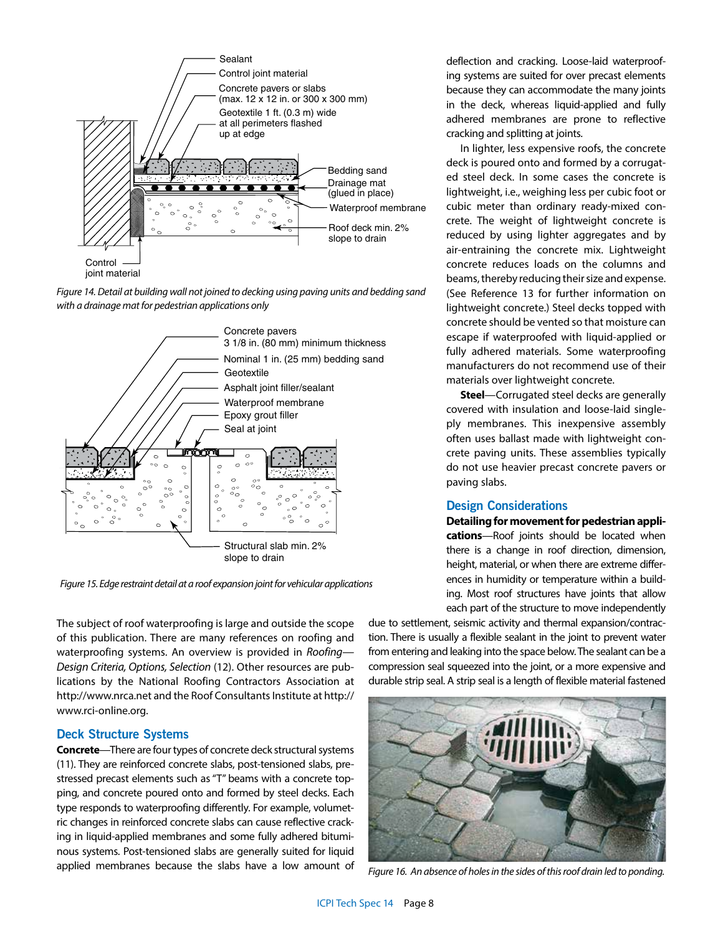

with a drainage mat for pedestrian applications only *Figure 14. Detail at building wall not joined to decking using paving units and bedding sand* 



*Figure 15. Edge restraint detail at a roof expansion joint for vehicular applications* 

The subject of roof waterproofing is large and outside the scope of this publication. There are many references on roofing and waterproofing systems. An overview is provided in *Roofing— Design Criteria, Options, Selection* (12). Other resources are publications by the National Roofing Contractors Association at http://www.nrca.net and the Roof Consultants Institute at http:// www.rci-online.org.

# **Deck Structure Systems**

**Concrete**—There are four types of concrete deck structural systems (11). They are reinforced concrete slabs, post-tensioned slabs, prestressed precast elements such as "T" beams with a concrete topping, and concrete poured onto and formed by steel decks. Each type responds to waterproofing differently. For example, volumetric changes in reinforced concrete slabs can cause reflective cracking in liquid-applied membranes and some fully adhered bituminous systems. Post-tensioned slabs are generally suited for liquid applied membranes because the slabs have a low amount of deflection and cracking. Loose-laid waterproofing systems are suited for over precast elements because they can accommodate the many joints in the deck, whereas liquid-applied and fully adhered membranes are prone to reflective cracking and splitting at joints.

In lighter, less expensive roofs, the concrete deck is poured onto and formed by a corrugated steel deck. In some cases the concrete is lightweight, i.e., weighing less per cubic foot or cubic meter than ordinary ready-mixed concrete. The weight of lightweight concrete is reduced by using lighter aggregates and by air-entraining the concrete mix. Lightweight concrete reduces loads on the columns and beams, thereby reducing their size and expense. (See Reference 13 for further information on lightweight concrete.) Steel decks topped with concrete should be vented so that moisture can escape if waterproofed with liquid-applied or fully adhered materials. Some waterproofing manufacturers do not recommend use of their materials over lightweight concrete.

**Steel**—Corrugated steel decks are generally covered with insulation and loose-laid singleply membranes. This inexpensive assembly often uses ballast made with lightweight concrete paving units. These assemblies typically do not use heavier precast concrete pavers or paving slabs.

#### **Design Considerations**

**Detailing for movement for pedestrian applications**—Roof joints should be located when there is a change in roof direction, dimension, height, material, or when there are extreme differences in humidity or temperature within a building. Most roof structures have joints that allow each part of the structure to move independently

due to settlement, seismic activity and thermal expansion/contraction. There is usually a flexible sealant in the joint to prevent water from entering and leaking into the space below. The sealant can be a compression seal squeezed into the joint, or a more expensive and durable strip seal. A strip seal is a length of flexible material fastened



*Figure 16. An absence of holes in the sides of this roof drain led to ponding.*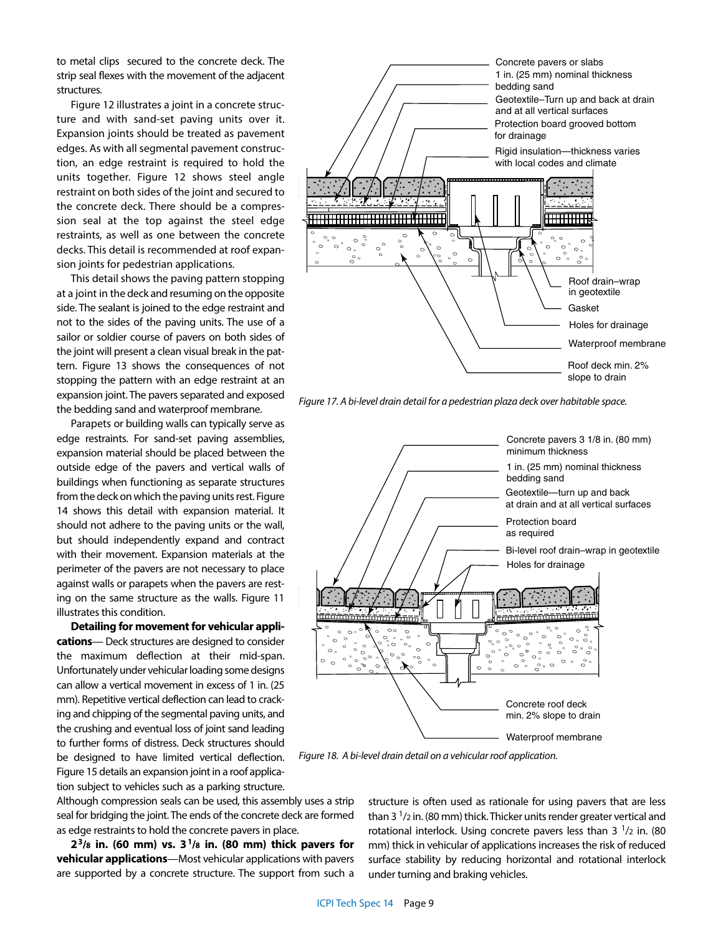to metal clips secured to the concrete deck. The strip seal flexes with the movement of the adjacent structures.

Figure 12 illustrates a joint in a concrete structure and with sand-set paving units over it. Expansion joints should be treated as pavement edges. As with all segmental pavement construction, an edge restraint is required to hold the units together. Figure 12 shows steel angle restraint on both sides of the joint and secured to the concrete deck. There should be a compression seal at the top against the steel edge restraints, as well as one between the concrete decks. This detail is recommended at roof expansion joints for pedestrian applications.

This detail shows the paving pattern stopping at a joint in the deck and resuming on the opposite side. The sealant is joined to the edge restraint and not to the sides of the paving units. The use of a sailor or soldier course of pavers on both sides of the joint will present a clean visual break in the pattern. Figure 13 shows the consequences of not stopping the pattern with an edge restraint at an expansion joint. The pavers separated and exposed the bedding sand and waterproof membrane.

Parapets or building walls can typically serve as edge restraints. For sand-set paving assemblies, expansion material should be placed between the outside edge of the pavers and vertical walls of buildings when functioning as separate structures from the deck on which the paving units rest. Figure 14 shows this detail with expansion material. It should not adhere to the paving units or the wall, but should independently expand and contract with their movement. Expansion materials at the perimeter of the pavers are not necessary to place against walls or parapets when the pavers are resting on the same structure as the walls. Figure 11 illustrates this condition.

**Detailing for movement for vehicular applications**— Deck structures are designed to consider the maximum deflection at their mid-span. Unfortunately under vehicular loading some designs can allow a vertical movement in excess of 1 in. (25 mm). Repetitive vertical deflection can lead to cracking and chipping of the segmental paving units, and the crushing and eventual loss of joint sand leading to further forms of distress. Deck structures should be designed to have limited vertical deflection. Figure 15 details an expansion joint in a roof application subject to vehicles such as a parking structure.

Although compression seals can be used, this assembly uses a strip seal for bridging the joint. The ends of the concrete deck are formed as edge restraints to hold the concrete pavers in place.

**23/8 in. (60 mm) vs. 31/8 in. (80 mm) thick pavers for vehicular applications**—Most vehicular applications with pavers are supported by a concrete structure. The support from such a



*Figure 17. A bi-level drain detail for a pedestrian plaza deck over habitable space.*



*Figure 18. A bi-level drain detail on a vehicular roof application.*

structure is often used as rationale for using pavers that are less than  $3<sup>1</sup>/2$  in. (80 mm) thick. Thicker units render greater vertical and rotational interlock. Using concrete pavers less than  $3 \frac{1}{2}$  in. (80) mm) thick in vehicular of applications increases the risk of reduced surface stability by reducing horizontal and rotational interlock under turning and braking vehicles.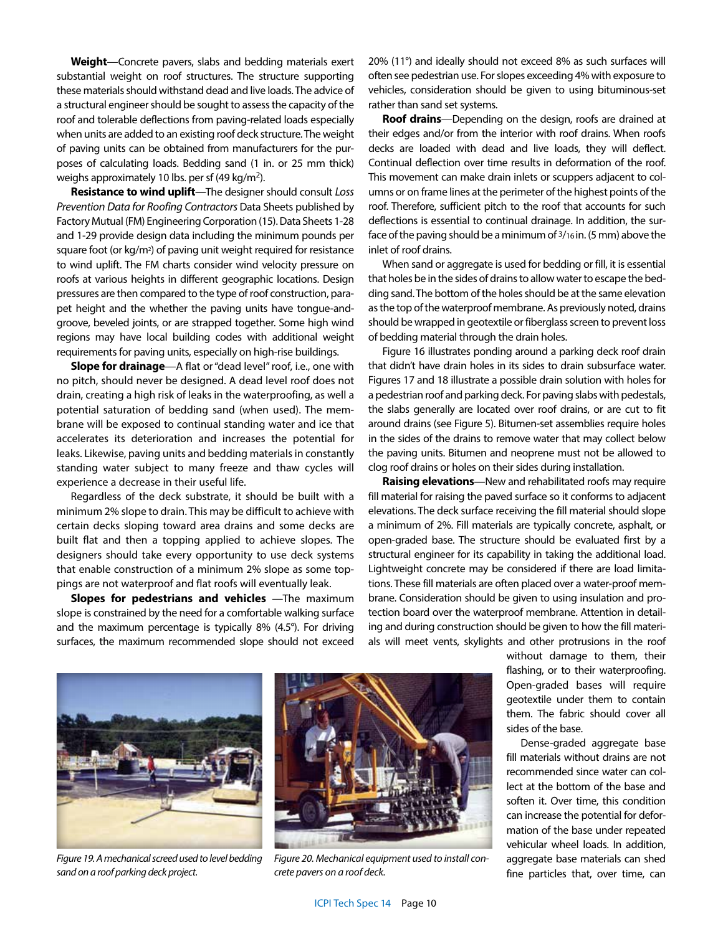**Weight**—Concrete pavers, slabs and bedding materials exert substantial weight on roof structures. The structure supporting these materials should withstand dead and live loads. The advice of a structural engineer should be sought to assess the capacity of the roof and tolerable deflections from paving-related loads especially when units are added to an existing roof deck structure. The weight of paving units can be obtained from manufacturers for the purposes of calculating loads. Bedding sand (1 in. or 25 mm thick) weighs approximately 10 lbs. per sf (49 kg/m<sup>2</sup>).

**Resistance to wind uplift**—The designer should consult *Loss Prevention Data for Roofing Contractors* Data Sheets published by Factory Mutual (FM) Engineering Corporation (15). Data Sheets 1-28 and 1-29 provide design data including the minimum pounds per square foot (or kg/m<sup>2</sup>) of paving unit weight required for resistance to wind uplift. The FM charts consider wind velocity pressure on roofs at various heights in different geographic locations. Design pressures are then compared to the type of roof construction, parapet height and the whether the paving units have tongue-andgroove, beveled joints, or are strapped together. Some high wind regions may have local building codes with additional weight requirements for paving units, especially on high-rise buildings.

**Slope for drainage**—A flat or "dead level" roof, i.e., one with no pitch, should never be designed. A dead level roof does not drain, creating a high risk of leaks in the waterproofing, as well a potential saturation of bedding sand (when used). The membrane will be exposed to continual standing water and ice that accelerates its deterioration and increases the potential for leaks. Likewise, paving units and bedding materials in constantly standing water subject to many freeze and thaw cycles will experience a decrease in their useful life.

Regardless of the deck substrate, it should be built with a minimum 2% slope to drain. This may be difficult to achieve with certain decks sloping toward area drains and some decks are built flat and then a topping applied to achieve slopes. The designers should take every opportunity to use deck systems that enable construction of a minimum 2% slope as some toppings are not waterproof and flat roofs will eventually leak.

**Slopes for pedestrians and vehicles** —The maximum slope is constrained by the need for a comfortable walking surface and the maximum percentage is typically 8% (4.5°). For driving surfaces, the maximum recommended slope should not exceed

20% (11°) and ideally should not exceed 8% as such surfaces will often see pedestrian use. For slopes exceeding 4% with exposure to vehicles, consideration should be given to using bituminous-set rather than sand set systems.

**Roof drains**—Depending on the design, roofs are drained at their edges and/or from the interior with roof drains. When roofs decks are loaded with dead and live loads, they will deflect. Continual deflection over time results in deformation of the roof. This movement can make drain inlets or scuppers adjacent to columns or on frame lines at the perimeter of the highest points of the roof. Therefore, sufficient pitch to the roof that accounts for such deflections is essential to continual drainage. In addition, the surface of the paving should be a minimum of 3/16 in. (5 mm) above the inlet of roof drains.

When sand or aggregate is used for bedding or fill, it is essential that holes be in the sides of drains to allow water to escape the bedding sand. The bottom of the holes should be at the same elevation as the top of the waterproof membrane. As previously noted, drains should be wrapped in geotextile or fiberglass screen to prevent loss of bedding material through the drain holes.

Figure 16 illustrates ponding around a parking deck roof drain that didn't have drain holes in its sides to drain subsurface water. Figures 17 and 18 illustrate a possible drain solution with holes for a pedestrian roof and parking deck. For paving slabs with pedestals, the slabs generally are located over roof drains, or are cut to fit around drains (see Figure 5). Bitumen-set assemblies require holes in the sides of the drains to remove water that may collect below the paving units. Bitumen and neoprene must not be allowed to clog roof drains or holes on their sides during installation.

**Raising elevations**—New and rehabilitated roofs may require fill material for raising the paved surface so it conforms to adjacent elevations. The deck surface receiving the fill material should slope a minimum of 2%. Fill materials are typically concrete, asphalt, or open-graded base. The structure should be evaluated first by a structural engineer for its capability in taking the additional load. Lightweight concrete may be considered if there are load limitations. These fill materials are often placed over a water-proof membrane. Consideration should be given to using insulation and protection board over the waterproof membrane. Attention in detailing and during construction should be given to how the fill materials will meet vents, skylights and other protrusions in the roof



*Figure 19. A mechanical screed used to level bedding sand on a roof parking deck project.* 



*Figure 20. Mechanical equipment used to install concrete pavers on a roof deck.*

without damage to them, their flashing, or to their waterproofing. Open-graded bases will require geotextile under them to contain them. The fabric should cover all sides of the base.

Dense-graded aggregate base fill materials without drains are not recommended since water can collect at the bottom of the base and soften it. Over time, this condition can increase the potential for deformation of the base under repeated vehicular wheel loads. In addition, aggregate base materials can shed fine particles that, over time, can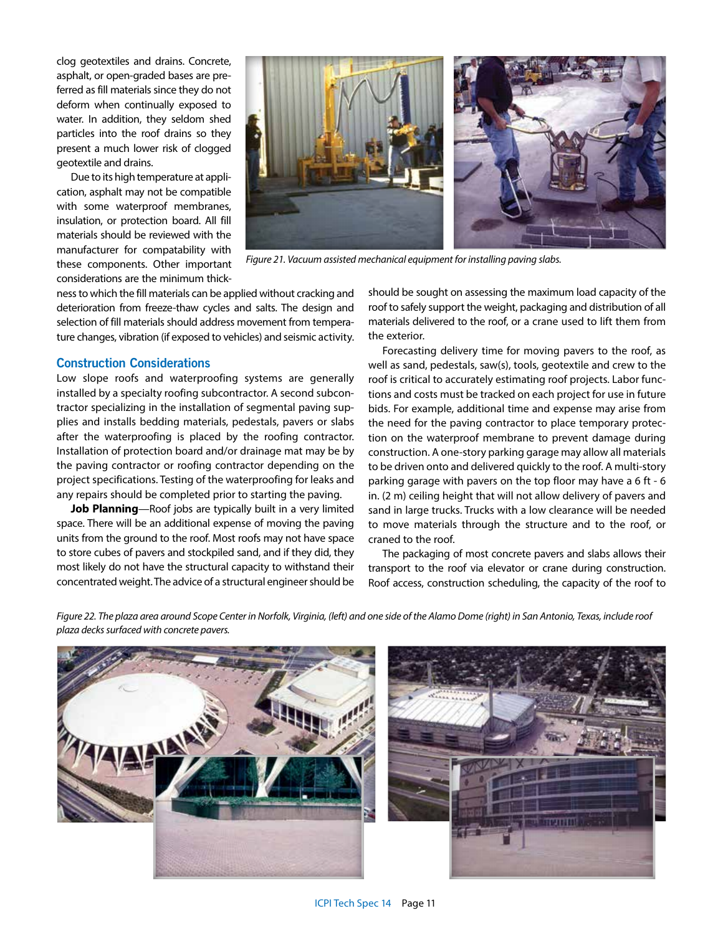clog geotextiles and drains. Concrete, asphalt, or open-graded bases are preferred as fill materials since they do not deform when continually exposed to water. In addition, they seldom shed particles into the roof drains so they present a much lower risk of clogged geotextile and drains.

Due to its high temperature at application, asphalt may not be compatible with some waterproof membranes, insulation, or protection board. All fill materials should be reviewed with the manufacturer for compatability with these components. Other important considerations are the minimum thick-



*Figure 21. Vacuum assisted mechanical equipment for installing paving slabs.*

ness to which the fill materials can be applied without cracking and deterioration from freeze-thaw cycles and salts. The design and selection of fill materials should address movement from temperature changes, vibration (if exposed to vehicles) and seismic activity.

#### **Construction Considerations**

Low slope roofs and waterproofing systems are generally installed by a specialty roofing subcontractor. A second subcontractor specializing in the installation of segmental paving supplies and installs bedding materials, pedestals, pavers or slabs after the waterproofing is placed by the roofing contractor. Installation of protection board and/or drainage mat may be by the paving contractor or roofing contractor depending on the project specifications. Testing of the waterproofing for leaks and any repairs should be completed prior to starting the paving.

**Job Planning**—Roof jobs are typically built in a very limited space. There will be an additional expense of moving the paving units from the ground to the roof. Most roofs may not have space to store cubes of pavers and stockpiled sand, and if they did, they most likely do not have the structural capacity to withstand their concentrated weight. The advice of a structural engineer should be should be sought on assessing the maximum load capacity of the roof to safely support the weight, packaging and distribution of all materials delivered to the roof, or a crane used to lift them from the exterior.

Forecasting delivery time for moving pavers to the roof, as well as sand, pedestals, saw(s), tools, geotextile and crew to the roof is critical to accurately estimating roof projects. Labor functions and costs must be tracked on each project for use in future bids. For example, additional time and expense may arise from the need for the paving contractor to place temporary protection on the waterproof membrane to prevent damage during construction. A one-story parking garage may allow all materials to be driven onto and delivered quickly to the roof. A multi-story parking garage with pavers on the top floor may have a 6 ft - 6 in. (2 m) ceiling height that will not allow delivery of pavers and sand in large trucks. Trucks with a low clearance will be needed to move materials through the structure and to the roof, or craned to the roof.

The packaging of most concrete pavers and slabs allows their transport to the roof via elevator or crane during construction. Roof access, construction scheduling, the capacity of the roof to

*Figure 22. The plaza area around Scope Center in Norfolk, Virginia, (left) and one side of the Alamo Dome (right) in San Antonio, Texas, include roof plaza decks surfaced with concrete pavers.*